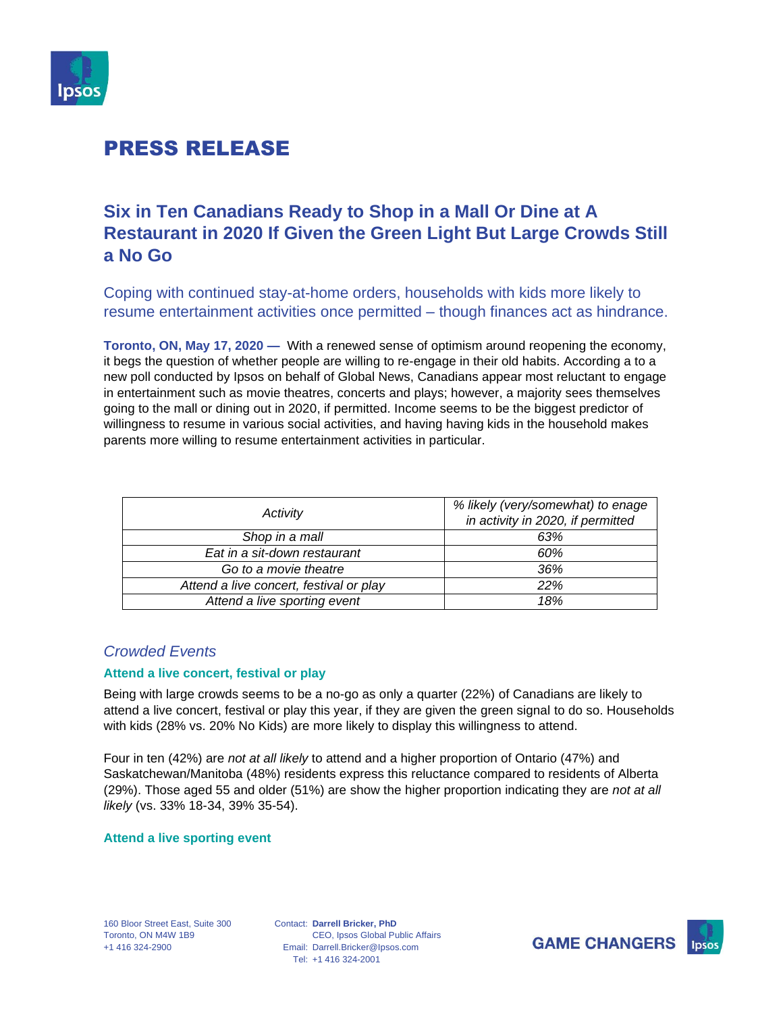

# PRESS RELEASE

# **Six in Ten Canadians Ready to Shop in a Mall Or Dine at A Restaurant in 2020 If Given the Green Light But Large Crowds Still a No Go**

Coping with continued stay-at-home orders, households with kids more likely to resume entertainment activities once permitted – though finances act as hindrance.

**Toronto, ON, May 17, 2020 —** With a renewed sense of optimism around reopening the economy, it begs the question of whether people are willing to re-engage in their old habits. According a to a new poll conducted by Ipsos on behalf of Global News, Canadians appear most reluctant to engage in entertainment such as movie theatres, concerts and plays; however, a majority sees themselves going to the mall or dining out in 2020, if permitted. Income seems to be the biggest predictor of willingness to resume in various social activities, and having having kids in the household makes parents more willing to resume entertainment activities in particular.

| Activity                                | % likely (very/somewhat) to enage |
|-----------------------------------------|-----------------------------------|
|                                         | in activity in 2020, if permitted |
| Shop in a mall                          | 63%                               |
| Eat in a sit-down restaurant            | 60%                               |
| Go to a movie theatre                   | 36%                               |
| Attend a live concert, festival or play | <b>22%</b>                        |
| Attend a live sporting event            | 18%                               |

## *Crowded Events*

### **Attend a live concert, festival or play**

Being with large crowds seems to be a no-go as only a quarter (22%) of Canadians are likely to attend a live concert, festival or play this year, if they are given the green signal to do so. Households with kids (28% vs. 20% No Kids) are more likely to display this willingness to attend.

Four in ten (42%) are *not at all likely* to attend and a higher proportion of Ontario (47%) and Saskatchewan/Manitoba (48%) residents express this reluctance compared to residents of Alberta (29%). Those aged 55 and older (51%) are show the higher proportion indicating they are *not at all likely* (vs. 33% 18-34, 39% 35-54).

#### **Attend a live sporting event**

Contact: **Darrell Bricker, PhD** Email: Darrell.Bricker@Ipsos.com Tel: +1 416 324-2001 CEO, Ipsos Global Public Affairs



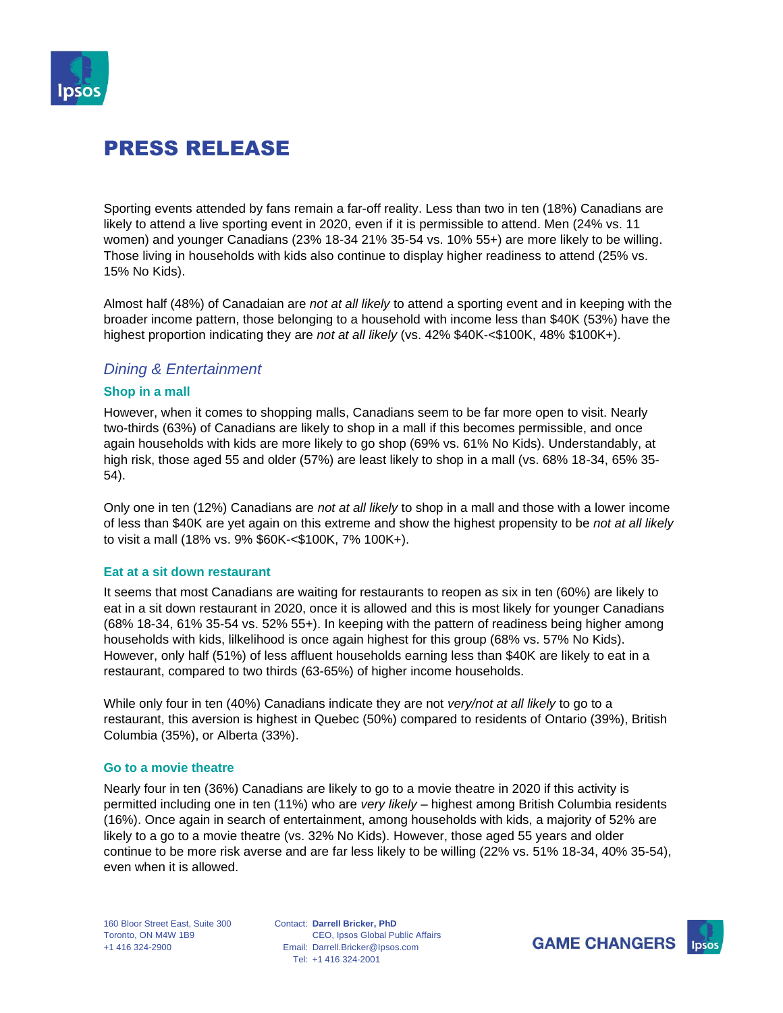

# PRESS RELEASE

Sporting events attended by fans remain a far-off reality. Less than two in ten (18%) Canadians are likely to attend a live sporting event in 2020, even if it is permissible to attend. Men (24% vs. 11 women) and younger Canadians (23% 18-34 21% 35-54 vs. 10% 55+) are more likely to be willing. Those living in households with kids also continue to display higher readiness to attend (25% vs. 15% No Kids).

Almost half (48%) of Canadaian are *not at all likely* to attend a sporting event and in keeping with the broader income pattern, those belonging to a household with income less than \$40K (53%) have the highest proportion indicating they are *not at all likely* (vs. 42% \$40K-<\$100K, 48% \$100K+).

### *Dining & Entertainment*

#### **Shop in a mall**

However, when it comes to shopping malls, Canadians seem to be far more open to visit. Nearly two-thirds (63%) of Canadians are likely to shop in a mall if this becomes permissible, and once again households with kids are more likely to go shop (69% vs. 61% No Kids). Understandably, at high risk, those aged 55 and older (57%) are least likely to shop in a mall (vs. 68% 18-34, 65% 35- 54).

Only one in ten (12%) Canadians are *not at all likely* to shop in a mall and those with a lower income of less than \$40K are yet again on this extreme and show the highest propensity to be *not at all likely* to visit a mall (18% vs. 9% \$60K-<\$100K, 7% 100K+).

### **Eat at a sit down restaurant**

It seems that most Canadians are waiting for restaurants to reopen as six in ten (60%) are likely to eat in a sit down restaurant in 2020, once it is allowed and this is most likely for younger Canadians (68% 18-34, 61% 35-54 vs. 52% 55+). In keeping with the pattern of readiness being higher among households with kids, lilkelihood is once again highest for this group (68% vs. 57% No Kids). However, only half (51%) of less affluent households earning less than \$40K are likely to eat in a restaurant, compared to two thirds (63-65%) of higher income households.

While only four in ten (40%) Canadians indicate they are not *very/not at all likely* to go to a restaurant, this aversion is highest in Quebec (50%) compared to residents of Ontario (39%), British Columbia (35%), or Alberta (33%).

#### **Go to a movie theatre**

Nearly four in ten (36%) Canadians are likely to go to a movie theatre in 2020 if this activity is permitted including one in ten (11%) who are *very likely* – highest among British Columbia residents (16%). Once again in search of entertainment, among households with kids, a majority of 52% are likely to a go to a movie theatre (vs. 32% No Kids). However, those aged 55 years and older continue to be more risk averse and are far less likely to be willing (22% vs. 51% 18-34, 40% 35-54), even when it is allowed.

160 Bloor Street East, Suite 300 Toronto, ON M4W 1B9 +1 416 324-2900

Contact: **Darrell Bricker, PhD** Email: Darrell.Bricker@Ipsos.com Tel: +1 416 324-2001 CEO, Ipsos Global Public Affairs